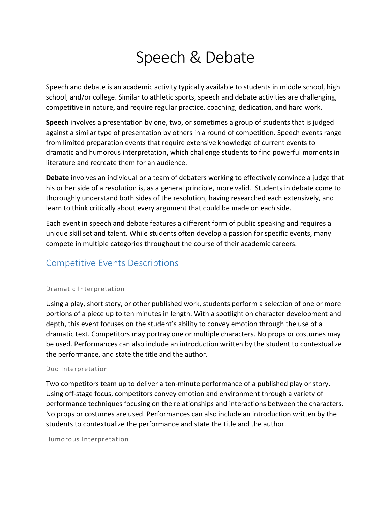# Speech & Debate

Speech and debate is an academic activity typically available to students in middle school, high school, and/or college. Similar to athletic sports, speech and debate activities are challenging, competitive in nature, and require regular practice, coaching, dedication, and hard work.

**Speech** involves a presentation by one, two, or sometimes a group of students that is judged against a similar type of presentation by others in a round of competition. Speech events range from limited preparation events that require extensive knowledge of current events to dramatic and humorous interpretation, which challenge students to find powerful moments in literature and recreate them for an audience.

**Debate** involves an individual or a team of debaters working to effectively convince a judge that his or her side of a resolution is, as a general principle, more valid. Students in debate come to thoroughly understand both sides of the resolution, having researched each extensively, and learn to think critically about every argument that could be made on each side.

Each event in speech and debate features a different form of public speaking and requires a unique skill set and talent. While students often develop a passion for specific events, many compete in multiple categories throughout the course of their academic careers.

# Competitive Events Descriptions

#### Dramatic Interpretation

Using a play, short story, or other published work, students perform a selection of one or more portions of a piece up to ten minutes in length. With a spotlight on character development and depth, this event focuses on the student's ability to convey emotion through the use of a dramatic text. Competitors may portray one or multiple characters. No props or costumes may be used. Performances can also include an introduction written by the student to contextualize the performance, and state the title and the author.

#### Duo Interpretation

Two competitors team up to deliver a ten-minute performance of a published play or story. Using off-stage focus, competitors convey emotion and environment through a variety of performance techniques focusing on the relationships and interactions between the characters. No props or costumes are used. Performances can also include an introduction written by the students to contextualize the performance and state the title and the author.

Humorous Interpretation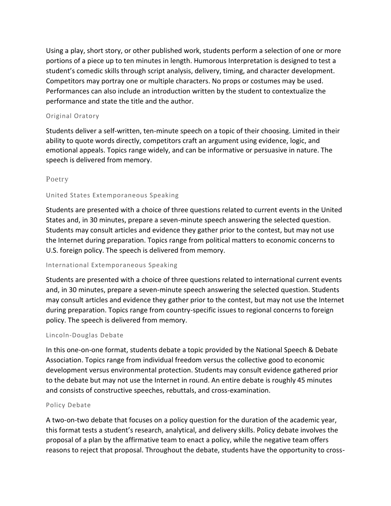Using a play, short story, or other published work, students perform a selection of one or more portions of a piece up to ten minutes in length. Humorous Interpretation is designed to test a student's comedic skills through script analysis, delivery, timing, and character development. Competitors may portray one or multiple characters. No props or costumes may be used. Performances can also include an introduction written by the student to contextualize the performance and state the title and the author.

### Original Oratory

Students deliver a self-written, ten-minute speech on a topic of their choosing. Limited in their ability to quote words directly, competitors craft an argument using evidence, logic, and emotional appeals. Topics range widely, and can be informative or persuasive in nature. The speech is delivered from memory.

## [Poetry](http://www.speechanddebate.org/oratory)

## United States Extemporaneous Speaking

Students are presented with a choice of three questions related to current events in the United States and, in 30 minutes, prepare a seven-minute speech answering the selected question. Students may consult articles and evidence they gather prior to the contest, but may not use the Internet during preparation. Topics range from political matters to economic concerns to U.S. foreign policy. The speech is delivered from memory.

#### International Extemporaneous Speaking

Students are presented with a choice of three questions related to international current events and, in 30 minutes, prepare a seven-minute speech answering the selected question. Students may consult articles and evidence they gather prior to the contest, but may not use the Internet during preparation. Topics range from country-specific issues to regional concerns to foreign policy. The speech is delivered from memory.

#### Lincoln-Douglas Debate

In this one-on-one format, students debate a topic provided by the National Speech & Debate Association. Topics range from individual freedom versus the collective good to economic development versus environmental protection. Students may consult evidence gathered prior to the debate but may not use the Internet in round. An entire debate is roughly 45 minutes and consists of constructive speeches, rebuttals, and cross-examination.

#### Policy Debate

A two-on-two debate that focuses on a policy question for the duration of the academic year, this format tests a student's research, analytical, and delivery skills. Policy debate involves the proposal of a plan by the affirmative team to enact a policy, while the negative team offers reasons to reject that proposal. Throughout the debate, students have the opportunity to cross